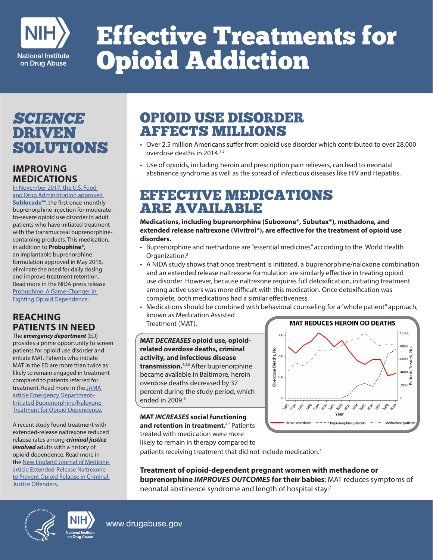

# Effective Treatments for Opioid Addiction

## SCIENCE DRIVEN<br>SOLUTIONS

#### **IMPROVING MEDICATIONS**

In November 2017, the U.S. Food and Drug Administration approved **Sublocade™**, the first once-monthly buprenorphine injection for moderateto-severe opioid use disorder in adult patients who have initiated treatment with the transmucosal buprenorphinecontaining products. This medication, in addition to **Probuphine®**, an implantable buprenorphine formulation approved in May 2016, eliminate the need for daily dosing and improve treatment retention. Read more in the NIDA press release Probuphine: A Game-Changer in Fighting Opioid Dependence.

#### **REACHING PATIENTS IN NEED**

The *emergency department* (ED) provides a prime opportunity to screen patients for opioid use disorder and initiate MAT. Patients who initiate MAT in the ED are more than twice as likely to remain engaged in treatment compared to patients referred for treatment. Read more in the JAMA article Emergency Department– Initiated Buprenorphine/Naloxone Treatment for Opioid Dependence.

A recent study found treatment with extended-release naltrexone reduced relapse rates among *criminal justice involved* adults with a history of opioid dependence. Read more in the New England Journal of Medicine article Extended-Release Naltrexone to Prevent Opioid Relapse in Criminal Justice Offenders.

### OPIOID USE DISORDER AFFECTS MILLIONS

- Over 2.5 million Americans suffer from opioid use disorder which contributed to over 28,000 overdose deaths in 2014.<sup>1,2</sup>
- Use of opioids, including heroin and prescription pain relievers, can lead to neonatal abstinence syndrome as well as the spread of infectious diseases like HIV and Hepatitis.

#### EFFECTIVE MEDICATIONS ARE AVAILABLE

**Medications, including buprenorphine (Suboxone®, Subutex®), methadone, and extended release naltrexone (Vivitrol®), are effective for the treatment of opioid use disorders.** 

- Buprenorphine and methadone are "essential medicines" according to the World Health Organization.3
- A NIDA study shows that once treatment is initiated, a buprenorphine/naloxone combination and an extended release naltrexone formulation are similarly effective in treating opioid use disorder. However, because naltrexone requires full detoxification, initiating treatment among active users was more difficult with this medication. Once detoxification was complete, both medications had a similar effectiveness.
- Medications should be combined with behavioral counseling for a "whole patient" approach, known as Medication Assisted Treatment (MAT).

**MAT** *DECREASES* **opioid use, opioidrelated overdose deaths, criminal activity, and infectious disease transmission.**4,5,6 After buprenorphine became available in Baltimore, heroin overdose deaths decreased by 37 percent during the study period, which ended in 2009.<sup>6</sup>

**MAT** *INCREASES* **social functioning and retention in treatment.**4,5 Patients treated with medication were more likely to remain in therapy compared to



patients receiving treatment that did not include medication.<sup>4</sup>

**Treatment of opioid-dependent pregnant women with methadone or buprenorphine** *IMPROVES OUTCOMES* **for their babies**; MAT reduces symptoms of neonatal abstinence syndrome and length of hospital stay.<sup>7</sup>